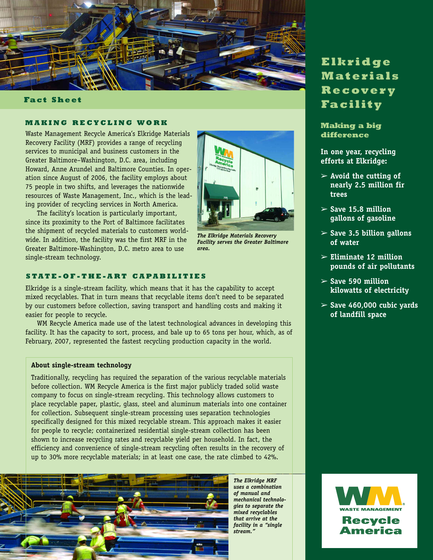

**Fact Sheet**

# **MAKING RECYCLING WORK**

Waste Management Recycle America's Elkridge Materials Recovery Facility (MRF) provides a range of recycling services to municipal and business customers in the Greater Baltimore–Washington, D.C. area, including Howard, Anne Arundel and Baltimore Counties. In operation since August of 2006, the facility employs about 75 people in two shifts, and leverages the nationwide resources of Waste Management, Inc., which is the leading provider of recycling services in North America.

The facility's location is particularly important, since its proximity to the Port of Baltimore facilitates the shipment of recycled materials to customers worldwide. In addition, the facility was the first MRF in the Greater Baltimore-Washington, D.C. metro area to use single-stream technology.



*The Elkridge Materials Recovery Facility serves the Greater Baltimore area.*

## **STATE-OF-THE-ART CAPABILITIES**

Elkridge is a single-stream facility, which means that it has the capability to accept mixed recyclables. That in turn means that recyclable items don't need to be separated by our customers before collection, saving transport and handling costs and making it easier for people to recycle.

WM Recycle America made use of the latest technological advances in developing this facility. It has the capacity to sort, process, and bale up to 65 tons per hour, which, as of February, 2007, represented the fastest recycling production capacity in the world.

#### **About single-stream technology**

Traditionally, recycling has required the separation of the various recyclable materials before collection. WM Recycle America is the first major publicly traded solid waste company to focus on single-stream recycling. This technology allows customers to place recyclable paper, plastic, glass, steel and aluminum materials into one container for collection. Subsequent single-stream processing uses separation technologies specifically designed for this mixed recyclable stream. This approach makes it easier for people to recycle; containerized residential single-stream collection has been shown to increase recycling rates and recyclable yield per household. In fact, the efficiency and convenience of single-stream recycling often results in the recovery of up to 30% more recyclable materials; in at least one case, the rate climbed to 42%.



*The Elkridge MRF uses a combination of manual and mechanical technologies to separate the mixed recyclables that arrive at the facility in a "single stream."*

# **Elkridge Materials Recovery Facility**

**Making a big difference**

**In one year, recycling efforts at Elkridge:**

- ➢ **Avoid the cutting of nearly 2.5 million fir trees**
- ➢ **Save 15.8 million gallons of gasoline**
- ➢ **Save 3.5 billion gallons of water**
- ➢ **Eliminate 12 million pounds of air pollutants**
- ➢ **Save 590 million kilowatts of electricity**
- ➢ **Save 460,000 cubic yards of landfill space**